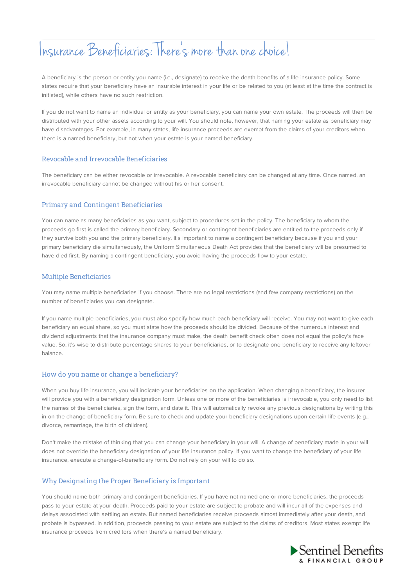# Insurance Beneficiaries: There smore than one choice!

A beneficiary is the person or entity you name (i.e., designate) to receive the death benefits of a life insurance policy. Some states require that your beneficiary have an insurable interest in your life or be related to you (at least at the time the contract is initiated), while others have no such restriction.

If you do not want to name an individual or entity as your beneficiary, you can name your own estate. The proceeds will then be distributed with your other assets according to your will. You should note, however, that naming your estate as beneficiary may have disadvantages. For example, in many states, life insurance proceeds are exempt from the claims of your creditors when there is a named beneficiary, but not when your estate is your named beneficiary.

## Revocable and Irrevocable Beneficiaries

The beneficiary can be either revocable or irrevocable. A revocable beneficiary can be changed at any time. Once named, an irrevocable beneficiary cannot be changed without his or her consent.

## Primary and Contingent Beneficiaries

You can name as many beneficiaries as you want, subject to procedures set in the policy. The beneficiary to whom the proceeds go first is called the primary beneficiary. Secondary or contingent beneficiaries are entitled to the proceeds only if they survive both you and the primary beneficiary. It's important to name a contingent beneficiary because if you and your primary beneficiary die simultaneously, the Uniform Simultaneous Death Act provides that the beneficiary will be presumed to have died first. By naming a contingent beneficiary, you avoid having the proceeds flow to your estate.

## Multiple Beneficiaries

You may name multiple beneficiaries if you choose. There are no legal restrictions (and few company restrictions) on the number of beneficiaries you can designate.

If you name multiple beneficiaries, you must also specify how much each beneficiary will receive. You may not want to give each beneficiary an equal share, so you must state how the proceeds should be divided. Because of the numerous interest and dividend adjustments that the insurance company must make, the death benefit check often does not equal the policy's face value. So, it's wise to distribute percentage shares to your beneficiaries, or to designate one beneficiary to receive any leftover balance.

#### How do you name or change a beneficiary?

When you buy life insurance, you will indicate your beneficiaries on the application. When changing a beneficiary, the insurer will provide you with a beneficiary designation form. Unless one or more of the beneficiaries is irrevocable, you only need to list the names of the beneficiaries, sign the form, and date it. This will automatically revoke any previous designations by writing this in on the change-of-beneficiary form. Be sure to check and update your beneficiary designations upon certain life events (e.g., divorce, remarriage, the birth of children).

Don't make the mistake of thinking that you can change your beneficiary in your will. A change of beneficiary made in your will does not override the beneficiary designation of your life insurance policy. If you want to change the beneficiary of your life insurance, execute a change-of-beneficiary form. Do not rely on your will to do so.

# Why Designating the Proper Beneficiary is Important

You should name both primary and contingent beneficiaries. If you have not named one or more beneficiaries, the proceeds pass to your estate at your death. Proceeds paid to your estate are subject to probate and will incur all of the expenses and delays associated with settling an estate. But named beneficiaries receive proceeds almost immediately after your death, and probate is bypassed. In addition, proceeds passing to your estate are subject to the claims of creditors. Most states exempt life insurance proceeds from creditors when there's a named beneficiary.